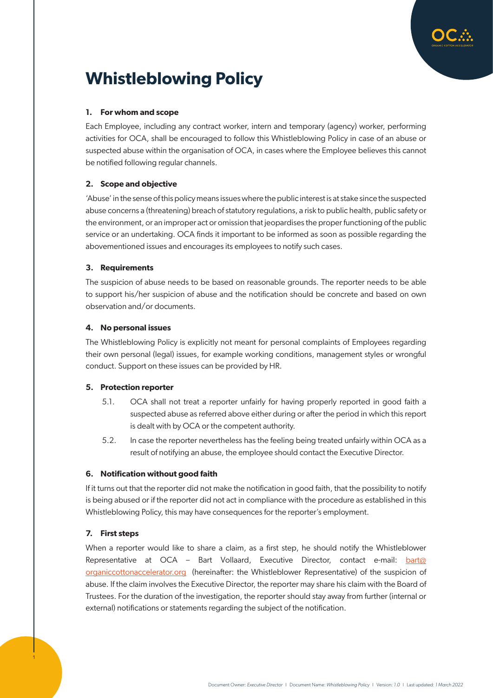

# **Whistleblowing Policy**

# **1. For whom and scope**

Each Employee, including any contract worker, intern and temporary (agency) worker, performing activities for OCA, shall be encouraged to follow this Whistleblowing Policy in case of an abuse or suspected abuse within the organisation of OCA, in cases where the Employee believes this cannot be notified following regular channels.

# **2. Scope and objective**

'Abuse' in the sense of this policy means issues where the public interest is at stake since the suspected abuse concerns a (threatening) breach of statutory regulations, a risk to public health, public safety or the environment, or an improper act or omission that jeopardises the proper functioning of the public service or an undertaking. OCA finds it important to be informed as soon as possible regarding the abovementioned issues and encourages its employees to notify such cases.

## **3. Requirements**

The suspicion of abuse needs to be based on reasonable grounds. The reporter needs to be able to support his/her suspicion of abuse and the notification should be concrete and based on own observation and/or documents.

## **4. No personal issues**

The Whistleblowing Policy is explicitly not meant for personal complaints of Employees regarding their own personal (legal) issues, for example working conditions, management styles or wrongful conduct. Support on these issues can be provided by HR.

## **5. Protection reporter**

- 5.1. OCA shall not treat a reporter unfairly for having properly reported in good faith a suspected abuse as referred above either during or after the period in which this report is dealt with by OCA or the competent authority.
- 5.2. In case the reporter nevertheless has the feeling being treated unfairly within OCA as a result of notifying an abuse, the employee should contact the Executive Director.

## **6. Notification without good faith**

If it turns out that the reporter did not make the notification in good faith, that the possibility to notify is being abused or if the reporter did not act in compliance with the procedure as established in this Whistleblowing Policy, this may have consequences for the reporter's employment.

## **7. First steps**

1

When a reporter would like to share a claim, as a first step, he should notify the Whistleblower Representative at OCA – Bart Vollaard, Executive Director, contact e-mail: [bart@](mailto:bart%40organiccottonaccelerator.org?subject=) [organiccottonaccelerator.org](mailto:bart%40organiccottonaccelerator.org?subject=) (hereinafter: the Whistleblower Representative) of the suspicion of abuse. If the claim involves the Executive Director, the reporter may share his claim with the Board of Trustees. For the duration of the investigation, the reporter should stay away from further (internal or external) notifications or statements regarding the subject of the notification.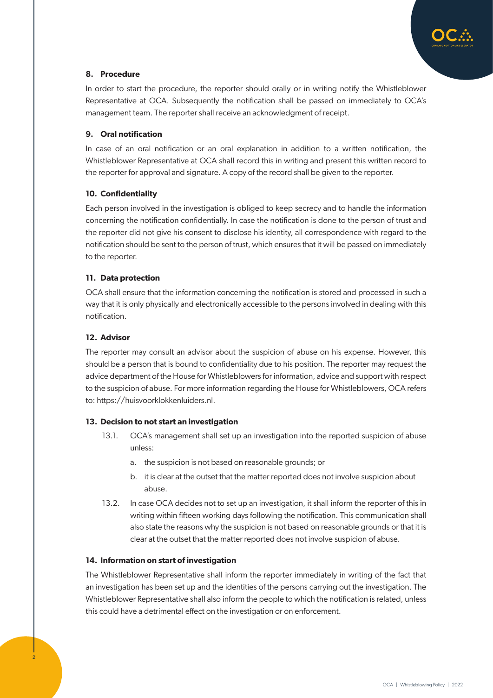

# **8. Procedure**

In order to start the procedure, the reporter should orally or in writing notify the Whistleblower Representative at OCA. Subsequently the notification shall be passed on immediately to OCA's management team. The reporter shall receive an acknowledgment of receipt.

## **9. Oral notification**

In case of an oral notification or an oral explanation in addition to a written notification, the Whistleblower Representative at OCA shall record this in writing and present this written record to the reporter for approval and signature. A copy of the record shall be given to the reporter.

# **10. Confidentiality**

Each person involved in the investigation is obliged to keep secrecy and to handle the information concerning the notification confidentially. In case the notification is done to the person of trust and the reporter did not give his consent to disclose his identity, all correspondence with regard to the notification should be sent to the person of trust, which ensures that it will be passed on immediately to the reporter.

## **11. Data protection**

OCA shall ensure that the information concerning the notification is stored and processed in such a way that it is only physically and electronically accessible to the persons involved in dealing with this notification.

# **12. Advisor**

The reporter may consult an advisor about the suspicion of abuse on his expense. However, this should be a person that is bound to confidentiality due to his position. The reporter may request the advice department of the House for Whistleblowers for information, advice and support with respect to the suspicion of abuse. For more information regarding the House for Whistleblowers, OCA refers to: https://huisvoorklokkenluiders.nl.

## **13. Decision to not start an investigation**

- 13.1. OCA's management shall set up an investigation into the reported suspicion of abuse unless:
	- a. the suspicion is not based on reasonable grounds; or
	- b. it is clear at the outset that the matter reported does not involve suspicion about abuse.
- 13.2. In case OCA decides not to set up an investigation, it shall inform the reporter of this in writing within fifteen working days following the notification. This communication shall also state the reasons why the suspicion is not based on reasonable grounds or that it is clear at the outset that the matter reported does not involve suspicion of abuse.

## **14. Information on start of investigation**

The Whistleblower Representative shall inform the reporter immediately in writing of the fact that an investigation has been set up and the identities of the persons carrying out the investigation. The Whistleblower Representative shall also inform the people to which the notification is related, unless this could have a detrimental effect on the investigation or on enforcement.